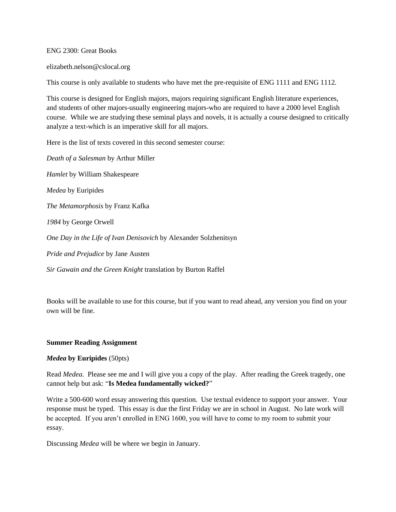ENG 2300: Great Books

elizabeth.nelson@cslocal.org

This course is only available to students who have met the pre-requisite of ENG 1111 and ENG 1112.

This course is designed for English majors, majors requiring significant English literature experiences, and students of other majors-usually engineering majors-who are required to have a 2000 level English course. While we are studying these seminal plays and novels, it is actually a course designed to critically analyze a text-which is an imperative skill for all majors.

Here is the list of texts covered in this second semester course:

*Death of a Salesman* by Arthur Miller *Hamlet* by William Shakespeare *Medea* by Euripides *The Metamorphosis* by Franz Kafka *1984* by George Orwell *One Day in the Life of Ivan Denisovich* by Alexander Solzhenitsyn *Pride and Prejudice* by Jane Austen

*Sir Gawain and the Green Knight* translation by Burton Raffel

Books will be available to use for this course, but if you want to read ahead, any version you find on your own will be fine.

## **Summer Reading Assignment**

## *Medea* **by Euripides** (50pts)

Read *Medea.* Please see me and I will give you a copy of the play. After reading the Greek tragedy, one cannot help but ask: "**Is Medea fundamentally wicked?**"

Write a 500-600 word essay answering this question. Use textual evidence to support your answer. Your response must be typed. This essay is due the first Friday we are in school in August. No late work will be accepted. If you aren't enrolled in ENG 1600, you will have to come to my room to submit your essay.

Discussing *Medea* will be where we begin in January.